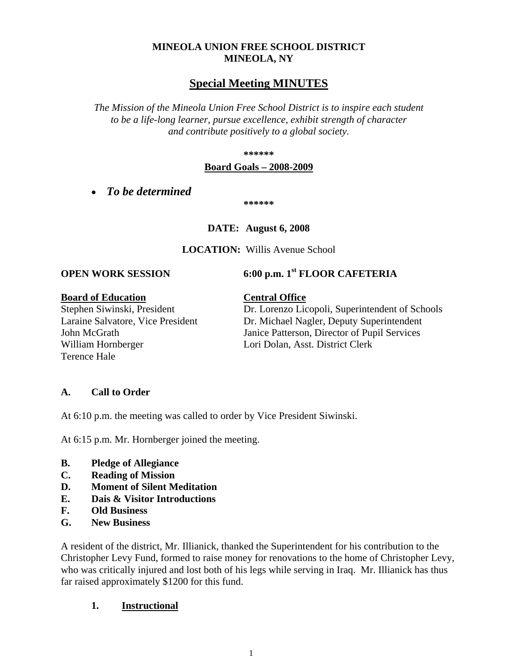## **MINEOLA UNION FREE SCHOOL DISTRICT MINEOLA, NY**

# **Special Meeting MINUTES**

*The Mission of the Mineola Union Free School District is to inspire each student to be a life-long learner, pursue excellence, exhibit strength of character and contribute positively to a global society.*

**\*\*\*\*\*\***

#### **Board Goals – 2008-2009**

• *To be determined*

**\*\*\*\*\*\***

**DATE: August 6, 2008**

**LOCATION:** Willis Avenue School

**OPEN WORK SESSION 6:00 p.m. 1st FLOOR CAFETERIA**

#### **Board of Education Central Office**

William Hornberger Lori Dolan, Asst. District Clerk Terence Hale

Stephen Siwinski, President Dr. Lorenzo Licopoli, Superintendent of Schools Laraine Salvatore, Vice President Dr. Michael Nagler, Deputy Superintendent John McGrath Janice Patterson, Director of Pupil Services

## **A. Call to Order**

At 6:10 p.m. the meeting was called to order by Vice President Siwinski.

At 6:15 p.m. Mr. Hornberger joined the meeting.

- **B. Pledge of Allegiance**
- **C. Reading of Mission**
- **D. Moment of Silent Meditation**
- **E. Dais & Visitor Introductions**
- **F. Old Business**
- **G. New Business**

A resident of the district, Mr. Illianick, thanked the Superintendent for his contribution to the Christopher Levy Fund, formed to raise money for renovations to the home of Christopher Levy, who was critically injured and lost both of his legs while serving in Iraq. Mr. Illianick has thus far raised approximately \$1200 for this fund.

## **1. Instructional**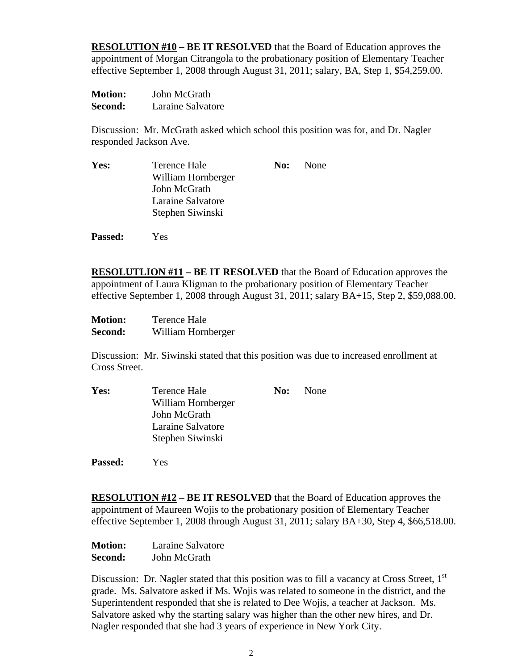**RESOLUTION #10 – BE IT RESOLVED** that the Board of Education approves the appointment of Morgan Citrangola to the probationary position of Elementary Teacher effective September 1, 2008 through August 31, 2011; salary, BA, Step 1, \$54,259.00.

| <b>Motion:</b> | John McGrath      |
|----------------|-------------------|
| Second:        | Laraine Salvatore |

Discussion: Mr. McGrath asked which school this position was for, and Dr. Nagler responded Jackson Ave.

| Yes: | Terence Hale       | No: None |
|------|--------------------|----------|
|      | William Hornberger |          |
|      | John McGrath       |          |
|      | Laraine Salvatore  |          |
|      | Stephen Siwinski   |          |
|      |                    |          |

**RESOLUTLION #11 – BE IT RESOLVED** that the Board of Education approves the appointment of Laura Kligman to the probationary position of Elementary Teacher effective September 1, 2008 through August 31, 2011; salary BA+15, Step 2, \$59,088.00.

| <b>Motion:</b> | <b>Terence Hale</b> |
|----------------|---------------------|
| Second:        | William Hornberger  |

Discussion: Mr. Siwinski stated that this position was due to increased enrollment at Cross Street.

| Yes: | Terence Hale       | <b>No:</b> None |
|------|--------------------|-----------------|
|      | William Hornberger |                 |
|      | John McGrath       |                 |
|      | Laraine Salvatore  |                 |
|      | Stephen Siwinski   |                 |
|      |                    |                 |

**Passed:** Yes

**Passed:** Yes

**RESOLUTION #12 – BE IT RESOLVED** that the Board of Education approves the appointment of Maureen Wojis to the probationary position of Elementary Teacher effective September 1, 2008 through August 31, 2011; salary BA+30, Step 4, \$66,518.00.

| <b>Motion:</b> | Laraine Salvatore |
|----------------|-------------------|
| Second:        | John McGrath      |

Discussion: Dr. Nagler stated that this position was to fill a vacancy at Cross Street,  $1<sup>st</sup>$ grade. Ms. Salvatore asked if Ms. Wojis was related to someone in the district, and the Superintendent responded that she is related to Dee Wojis, a teacher at Jackson. Ms. Salvatore asked why the starting salary was higher than the other new hires, and Dr. Nagler responded that she had 3 years of experience in New York City.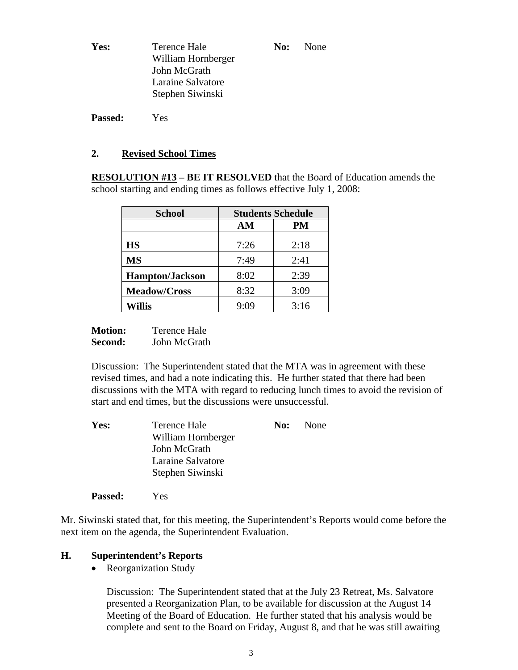| Yes: | Terence Hale       | No: | None |
|------|--------------------|-----|------|
|      | William Hornberger |     |      |
|      | John McGrath       |     |      |
|      | Laraine Salvatore  |     |      |
|      | Stephen Siwinski   |     |      |
|      |                    |     |      |

**Passed:** Yes

#### **2. Revised School Times**

**RESOLUTION #13 – BE IT RESOLVED** that the Board of Education amends the school starting and ending times as follows effective July 1, 2008:

| <b>School</b>          | <b>Students Schedule</b> |      |  |
|------------------------|--------------------------|------|--|
|                        | AM                       | PM   |  |
| <b>HS</b>              | 7:26                     | 2:18 |  |
| <b>MS</b>              | 7:49                     | 2:41 |  |
| <b>Hampton/Jackson</b> | 8:02                     | 2:39 |  |
| <b>Meadow/Cross</b>    | 8:32                     | 3:09 |  |
| <b>Willis</b>          | 9:09                     | 3:16 |  |

**Motion:** Terence Hale **Second:** John McGrath

Discussion: The Superintendent stated that the MTA was in agreement with these revised times, and had a note indicating this. He further stated that there had been discussions with the MTA with regard to reducing lunch times to avoid the revision of start and end times, but the discussions were unsuccessful.

| Yes: | Terence Hale       | No: | <b>None</b> |
|------|--------------------|-----|-------------|
|      | William Hornberger |     |             |
|      | John McGrath       |     |             |
|      | Laraine Salvatore  |     |             |
|      | Stephen Siwinski   |     |             |
|      |                    |     |             |

Mr. Siwinski stated that, for this meeting, the Superintendent's Reports would come before the next item on the agenda, the Superintendent Evaluation.

## **H. Superintendent's Reports**

**Passed:** Yes

• Reorganization Study

Discussion: The Superintendent stated that at the July 23 Retreat, Ms. Salvatore presented a Reorganization Plan, to be available for discussion at the August 14 Meeting of the Board of Education. He further stated that his analysis would be complete and sent to the Board on Friday, August 8, and that he was still awaiting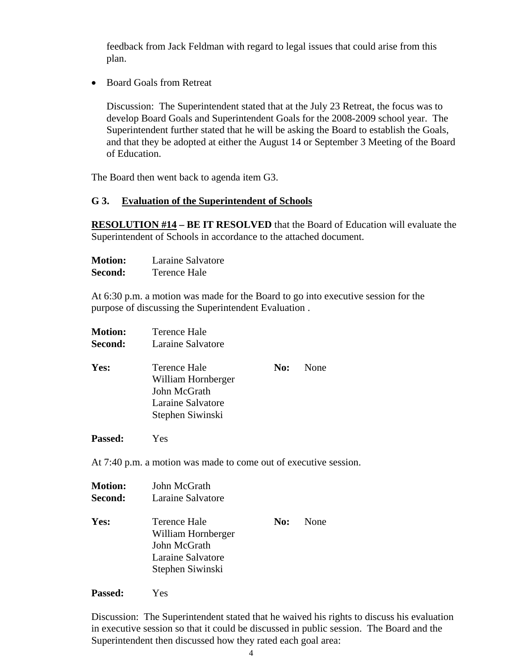feedback from Jack Feldman with regard to legal issues that could arise from this plan.

• Board Goals from Retreat

Discussion: The Superintendent stated that at the July 23 Retreat, the focus was to develop Board Goals and Superintendent Goals for the 2008-2009 school year. The Superintendent further stated that he will be asking the Board to establish the Goals, and that they be adopted at either the August 14 or September 3 Meeting of the Board of Education.

The Board then went back to agenda item G3.

#### **G 3. Evaluation of the Superintendent of Schools**

**RESOLUTION #14 – BE IT RESOLVED** that the Board of Education will evaluate the Superintendent of Schools in accordance to the attached document.

| <b>Motion:</b> | Laraine Salvatore |
|----------------|-------------------|
| Second:        | Terence Hale      |

At 6:30 p.m. a motion was made for the Board to go into executive session for the purpose of discussing the Superintendent Evaluation .

**Motion:** Terence Hale **Second:** Laraine Salvatore **Yes:** Terence Hale **No:** None William Hornberger John McGrath Laraine Salvatore Stephen Siwinski

**Passed:** Yes

At 7:40 p.m. a motion was made to come out of executive session.

| <b>Motion:</b><br><b>Second:</b> | John McGrath<br>Laraine Salvatore                                                           |     |      |
|----------------------------------|---------------------------------------------------------------------------------------------|-----|------|
| Yes:                             | Terence Hale<br>William Hornberger<br>John McGrath<br>Laraine Salvatore<br>Stephen Siwinski | No: | None |

**Passed:** Yes

Discussion: The Superintendent stated that he waived his rights to discuss his evaluation in executive session so that it could be discussed in public session. The Board and the Superintendent then discussed how they rated each goal area: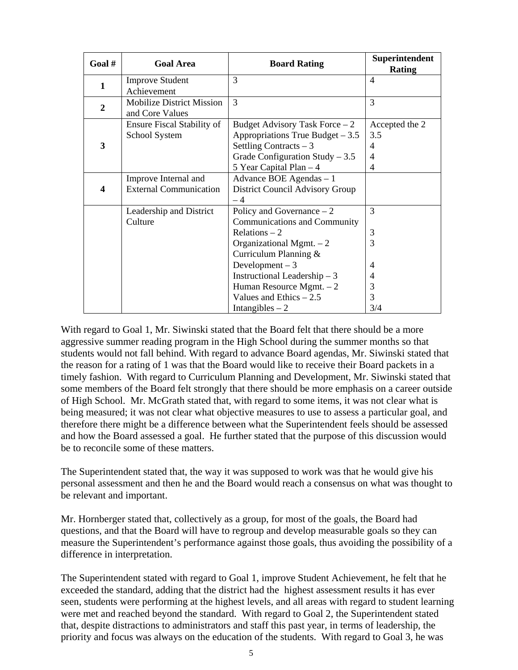| Goal#          | <b>Goal Area</b>                 | <b>Board Rating</b>               | Superintendent<br><b>Rating</b> |
|----------------|----------------------------------|-----------------------------------|---------------------------------|
| 1              | <b>Improve Student</b>           | 3                                 | $\overline{4}$                  |
|                | Achievement                      |                                   |                                 |
| $\overline{2}$ | <b>Mobilize District Mission</b> | 3                                 | 3                               |
|                | and Core Values                  |                                   |                                 |
|                | Ensure Fiscal Stability of       | Budget Advisory Task Force $-2$   | Accepted the 2                  |
|                | School System                    | Appropriations True Budget $-3.5$ | 3.5                             |
| 3              |                                  | Settling Contracts $-3$           | 4                               |
|                |                                  | Grade Configuration Study $-3.5$  | 4                               |
|                |                                  | 5 Year Capital Plan - 4           | 4                               |
|                | Improve Internal and             | Advance BOE Agendas - 1           |                                 |
| 4              | <b>External Communication</b>    | District Council Advisory Group   |                                 |
|                |                                  | $-4$                              |                                 |
|                | Leadership and District          | Policy and Governance $-2$        | 3                               |
|                | Culture                          | Communications and Community      |                                 |
|                |                                  | Relations $-2$                    | 3                               |
|                |                                  | Organizational Mgmt. $-2$         | 3                               |
|                |                                  | Curriculum Planning &             |                                 |
|                |                                  | Development $-3$                  | 4                               |
|                |                                  | Instructional Leadership $-3$     | 4                               |
|                |                                  | Human Resource Mgmt. $-2$         | 3                               |
|                |                                  | Values and Ethics $-2.5$          | 3                               |
|                |                                  | Intangibles $-2$                  | 3/4                             |

With regard to Goal 1, Mr. Siwinski stated that the Board felt that there should be a more aggressive summer reading program in the High School during the summer months so that students would not fall behind. With regard to advance Board agendas, Mr. Siwinski stated that the reason for a rating of 1 was that the Board would like to receive their Board packets in a timely fashion. With regard to Curriculum Planning and Development, Mr. Siwinski stated that some members of the Board felt strongly that there should be more emphasis on a career outside of High School. Mr. McGrath stated that, with regard to some items, it was not clear what is being measured; it was not clear what objective measures to use to assess a particular goal, and therefore there might be a difference between what the Superintendent feels should be assessed and how the Board assessed a goal. He further stated that the purpose of this discussion would be to reconcile some of these matters.

The Superintendent stated that, the way it was supposed to work was that he would give his personal assessment and then he and the Board would reach a consensus on what was thought to be relevant and important.

Mr. Hornberger stated that, collectively as a group, for most of the goals, the Board had questions, and that the Board will have to regroup and develop measurable goals so they can measure the Superintendent's performance against those goals, thus avoiding the possibility of a difference in interpretation.

The Superintendent stated with regard to Goal 1, improve Student Achievement, he felt that he exceeded the standard, adding that the district had the highest assessment results it has ever seen, students were performing at the highest levels, and all areas with regard to student learning were met and reached beyond the standard. With regard to Goal 2, the Superintendent stated that, despite distractions to administrators and staff this past year, in terms of leadership, the priority and focus was always on the education of the students. With regard to Goal 3, he was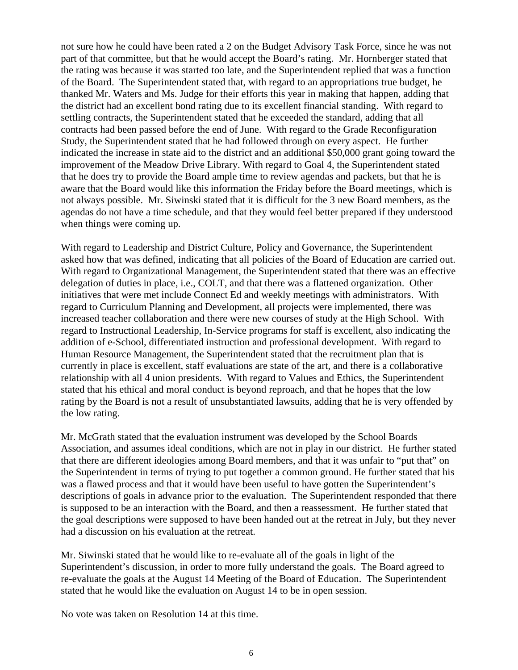not sure how he could have been rated a 2 on the Budget Advisory Task Force, since he was not part of that committee, but that he would accept the Board's rating. Mr. Hornberger stated that the rating was because it was started too late, and the Superintendent replied that was a function of the Board. The Superintendent stated that, with regard to an appropriations true budget, he thanked Mr. Waters and Ms. Judge for their efforts this year in making that happen, adding that the district had an excellent bond rating due to its excellent financial standing. With regard to settling contracts, the Superintendent stated that he exceeded the standard, adding that all contracts had been passed before the end of June. With regard to the Grade Reconfiguration Study, the Superintendent stated that he had followed through on every aspect. He further indicated the increase in state aid to the district and an additional \$50,000 grant going toward the improvement of the Meadow Drive Library. With regard to Goal 4, the Superintendent stated that he does try to provide the Board ample time to review agendas and packets, but that he is aware that the Board would like this information the Friday before the Board meetings, which is not always possible. Mr. Siwinski stated that it is difficult for the 3 new Board members, as the agendas do not have a time schedule, and that they would feel better prepared if they understood when things were coming up.

With regard to Leadership and District Culture, Policy and Governance, the Superintendent asked how that was defined, indicating that all policies of the Board of Education are carried out. With regard to Organizational Management, the Superintendent stated that there was an effective delegation of duties in place, i.e., COLT, and that there was a flattened organization. Other initiatives that were met include Connect Ed and weekly meetings with administrators. With regard to Curriculum Planning and Development, all projects were implemented, there was increased teacher collaboration and there were new courses of study at the High School. With regard to Instructional Leadership, In-Service programs for staff is excellent, also indicating the addition of e-School, differentiated instruction and professional development. With regard to Human Resource Management, the Superintendent stated that the recruitment plan that is currently in place is excellent, staff evaluations are state of the art, and there is a collaborative relationship with all 4 union presidents. With regard to Values and Ethics, the Superintendent stated that his ethical and moral conduct is beyond reproach, and that he hopes that the low rating by the Board is not a result of unsubstantiated lawsuits, adding that he is very offended by the low rating.

Mr. McGrath stated that the evaluation instrument was developed by the School Boards Association, and assumes ideal conditions, which are not in play in our district. He further stated that there are different ideologies among Board members, and that it was unfair to "put that" on the Superintendent in terms of trying to put together a common ground. He further stated that his was a flawed process and that it would have been useful to have gotten the Superintendent's descriptions of goals in advance prior to the evaluation. The Superintendent responded that there is supposed to be an interaction with the Board, and then a reassessment. He further stated that the goal descriptions were supposed to have been handed out at the retreat in July, but they never had a discussion on his evaluation at the retreat.

Mr. Siwinski stated that he would like to re-evaluate all of the goals in light of the Superintendent's discussion, in order to more fully understand the goals. The Board agreed to re-evaluate the goals at the August 14 Meeting of the Board of Education. The Superintendent stated that he would like the evaluation on August 14 to be in open session.

No vote was taken on Resolution 14 at this time.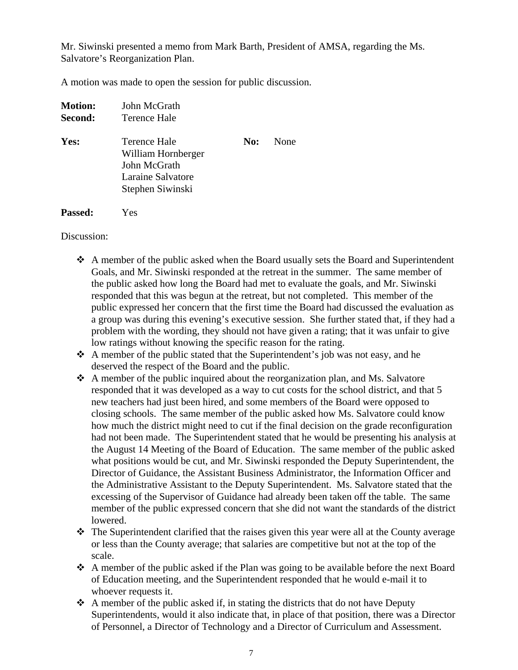Mr. Siwinski presented a memo from Mark Barth, President of AMSA, regarding the Ms. Salvatore's Reorganization Plan.

A motion was made to open the session for public discussion.

| <b>Motion:</b><br>Second: | John McGrath<br>Terence Hale                                                                |     |      |  |
|---------------------------|---------------------------------------------------------------------------------------------|-----|------|--|
| Yes:                      | Terence Hale<br>William Hornberger<br>John McGrath<br>Laraine Salvatore<br>Stephen Siwinski | No: | None |  |
| <b>Passed:</b>            | Yes                                                                                         |     |      |  |

Discussion:

- A member of the public asked when the Board usually sets the Board and Superintendent Goals, and Mr. Siwinski responded at the retreat in the summer. The same member of the public asked how long the Board had met to evaluate the goals, and Mr. Siwinski responded that this was begun at the retreat, but not completed. This member of the public expressed her concern that the first time the Board had discussed the evaluation as a group was during this evening's executive session. She further stated that, if they had a problem with the wording, they should not have given a rating; that it was unfair to give low ratings without knowing the specific reason for the rating.
- $\triangle$  A member of the public stated that the Superintendent's job was not easy, and he deserved the respect of the Board and the public.
- $\triangle$  A member of the public inquired about the reorganization plan, and Ms. Salvatore responded that it was developed as a way to cut costs for the school district, and that 5 new teachers had just been hired, and some members of the Board were opposed to closing schools. The same member of the public asked how Ms. Salvatore could know how much the district might need to cut if the final decision on the grade reconfiguration had not been made. The Superintendent stated that he would be presenting his analysis at the August 14 Meeting of the Board of Education. The same member of the public asked what positions would be cut, and Mr. Siwinski responded the Deputy Superintendent, the Director of Guidance, the Assistant Business Administrator, the Information Officer and the Administrative Assistant to the Deputy Superintendent. Ms. Salvatore stated that the excessing of the Supervisor of Guidance had already been taken off the table. The same member of the public expressed concern that she did not want the standards of the district lowered.
- The Superintendent clarified that the raises given this year were all at the County average or less than the County average; that salaries are competitive but not at the top of the scale.
- A member of the public asked if the Plan was going to be available before the next Board of Education meeting, and the Superintendent responded that he would e-mail it to whoever requests it.
- $\triangle$  A member of the public asked if, in stating the districts that do not have Deputy Superintendents, would it also indicate that, in place of that position, there was a Director of Personnel, a Director of Technology and a Director of Curriculum and Assessment.